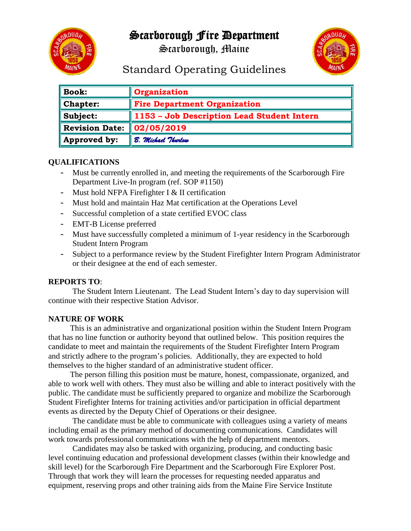# Scarborough Fire Department



Scarborough, Maine



Standard Operating Guidelines

| $\ $ Book:               | Organization                               |
|--------------------------|--------------------------------------------|
| $\blacksquare$ Chapter:  | <b>Fire Department Organization</b>        |
| $\ $ Subject:            | 1153 - Job Description Lead Student Intern |
| Revision Date:           | 02/05/2019                                 |
| $\parallel$ Approved by: | B. Michael Thurlow                         |

# **QUALIFICATIONS**

- Must be currently enrolled in, and meeting the requirements of the Scarborough Fire Department Live-In program (ref. SOP #1150)
- Must hold NFPA Firefighter I & II certification
- Must hold and maintain Haz Mat certification at the Operations Level
- Successful completion of a state certified EVOC class
- EMT-B License preferred
- Must have successfully completed a minimum of 1-year residency in the Scarborough Student Intern Program
- Subject to a performance review by the Student Firefighter Intern Program Administrator or their designee at the end of each semester.

#### **REPORTS TO**:

The Student Intern Lieutenant. The Lead Student Intern's day to day supervision will continue with their respective Station Advisor.

# **NATURE OF WORK**

This is an administrative and organizational position within the Student Intern Program that has no line function or authority beyond that outlined below. This position requires the candidate to meet and maintain the requirements of the Student Firefighter Intern Program and strictly adhere to the program's policies. Additionally, they are expected to hold themselves to the higher standard of an administrative student officer.

The person filling this position must be mature, honest, compassionate, organized, and able to work well with others. They must also be willing and able to interact positively with the public. The candidate must be sufficiently prepared to organize and mobilize the Scarborough Student Firefighter Interns for training activities and/or participation in official department events as directed by the Deputy Chief of Operations or their designee.

The candidate must be able to communicate with colleagues using a variety of means including email as the primary method of documenting communications. Candidates will work towards professional communications with the help of department mentors.

Candidates may also be tasked with organizing, producing, and conducting basic level continuing education and professional development classes (within their knowledge and skill level) for the Scarborough Fire Department and the Scarborough Fire Explorer Post. Through that work they will learn the processes for requesting needed apparatus and equipment, reserving props and other training aids from the Maine Fire Service Institute